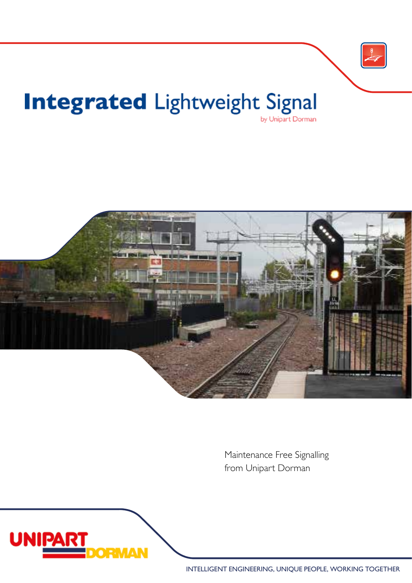

## Integrated Lightweight Signal



Maintenance Free Signalling from Unipart Dorman